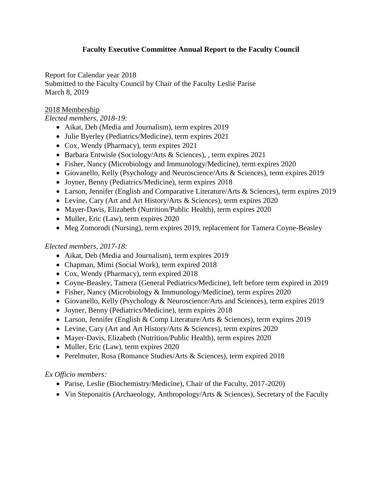# **Faculty Executive Committee Annual Report to the Faculty Council**

Report for Calendar year 2018 Submitted to the Faculty Council by Chair of the Faculty Leslie Parise March 8, 2019

### 2018 Membership

### *Elected members, 2018-19:*

- Aikat, Deb (Media and Journalism), term expires 2019
- Julie Byerley (Pediatrics/Medicine), term expires 2021
- Cox, Wendy (Pharmacy), term expires 2021
- Barbara Entwisle (Sociology/Arts & Sciences), , term expires 2021
- Fisher, Nancy (Microbiology and Immunology/Medicine), term expires 2020
- Giovanello, Kelly (Psychology and Neuroscience/Arts & Sciences), term expires 2019
- Joyner, Benny (Pediatrics/Medicine), term expires 2018
- Larson, Jennifer (English and Comparative Literature/Arts & Sciences), term expires 2019
- Levine, Cary (Art and Art History/Arts & Sciences), term expires 2020
- Mayer-Davis, Elizabeth (Nutrition/Public Health), term expires 2020
- Muller, Eric (Law), term expires 2020
- Meg Zomorodi (Nursing), term expires 2019, replacement for Tamera Coyne-Beasley

## *Elected members, 2017-18:*

- Aikat, Deb (Media and Journalism), term expires 2019
- Chapman, Mimi (Social Work), term expired 2018
- Cox, Wendy (Pharmacy), term expired 2018
- Coyne-Beasley, Tamera (General Pediatrics/Medicine), left before term expired in 2019
- Fisher, Nancy (Microbiology & Immunology/Medicine), term expires 2020
- Giovanello, Kelly (Psychology & Neuroscience/Arts and Sciences), term expires 2019
- Joyner, Benny (Pediatrics/Medicine), term expires 2018
- Larson, Jennifer (English & Comp Literature/Arts & Sciences), term expires 2019
- Levine, Cary (Art and Art History/Arts & Sciences), term expires 2020
- Mayer-Davis, Elizabeth (Nutrition/Public Health), term expires 2020
- Muller, Eric (Law), term expires 2020
- Perelmuter, Rosa (Romance Studies/Arts & Sciences), term expired 2018

## *Ex Officio members:*

- Parise, Leslie (Biochemistry/Medicine), Chair of the Faculty, 2017-2020)
- Vin Steponaitis (Archaeology, Anthropology/Arts & Sciences), Secretary of the Faculty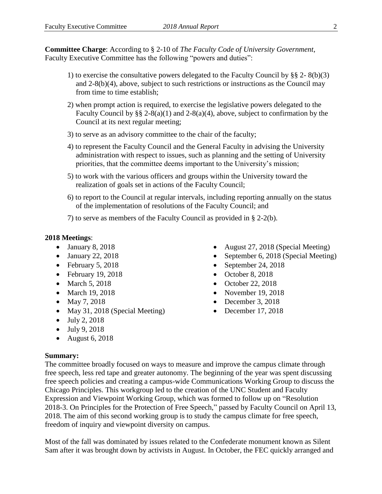**Committee Charge**: According to § 2-10 of *The Faculty Code of University Government*, Faculty Executive Committee has the following "powers and duties":

- 1) to exercise the consultative powers delegated to the Faculty Council by §§ 2- 8(b)(3) and 2-8(b)(4), above, subject to such restrictions or instructions as the Council may from time to time establish;
- 2) when prompt action is required, to exercise the legislative powers delegated to the Faculty Council by  $\S\S 2-8(a)(1)$  and  $2-8(a)(4)$ , above, subject to confirmation by the Council at its next regular meeting;
- 3) to serve as an advisory committee to the chair of the faculty;
- 4) to represent the Faculty Council and the General Faculty in advising the University administration with respect to issues, such as planning and the setting of University priorities, that the committee deems important to the University's mission;
- 5) to work with the various officers and groups within the University toward the realization of goals set in actions of the Faculty Council;
- 6) to report to the Council at regular intervals, including reporting annually on the status of the implementation of resolutions of the Faculty Council; and

7) to serve as members of the Faculty Council as provided in § 2-2(b).

### **2018 Meetings**:

- $\bullet$  January 8, 2018
- $\bullet$  January 22, 2018
- $\bullet$  February 5, 2018
- $\bullet$  February 19, 2018
- March 5, 2018
- March 19, 2018
- May 7, 2018
- May 31, 2018 (Special Meeting)
- $-$  July 2, 2018
- July 9, 2018
- August 6, 2018

### **Summary:**

The committee broadly focused on ways to measure and improve the campus climate through free speech, less red tape and greater autonomy. The beginning of the year was spent discussing free speech policies and creating a campus-wide Communications Working Group to discuss the Chicago Principles. This workgroup led to the creation of the UNC Student and Faculty Expression and Viewpoint Working Group, which was formed to follow up on "Resolution 2018-3. On Principles for the Protection of Free Speech," passed by Faculty Council on April 13, 2018. The aim of this second working group is to study the campus climate for free speech, freedom of inquiry and viewpoint diversity on campus.

Most of the fall was dominated by issues related to the Confederate monument known as Silent Sam after it was brought down by activists in August. In October, the FEC quickly arranged and

- August 27, 2018 (Special Meeting)
- September 6, 2018 (Special Meeting)
- $\bullet$  September 24, 2018
- $\bullet$  October 8, 2018
- October 22, 2018
- November 19, 2018
- $\bullet$  December 3, 2018
- $\bullet$  December 17, 2018